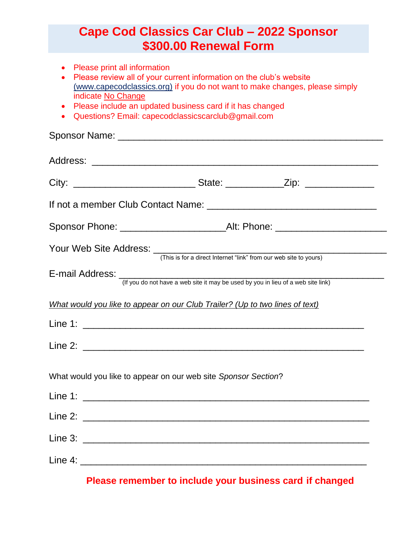## **Cape Cod Classics Car Club – 2022 Sponsor \$300.00 Renewal Form**

- Please print all information
- Please review all of your current information on the club's website (www.capecodclassics.org) if you do not want to make changes, please simply indicate No Change
- Please include an updated business card if it has changed
- Questions? Email: capecodclassicscarclub@gmail.com

|                                                                              | (If you do not have a web site it may be used by you in lieu of a web site link) |
|------------------------------------------------------------------------------|----------------------------------------------------------------------------------|
| What would you like to appear on our Club Trailer? (Up to two lines of text) |                                                                                  |
|                                                                              |                                                                                  |
|                                                                              |                                                                                  |
| What would you like to appear on our web site Sponsor Section?               |                                                                                  |
|                                                                              |                                                                                  |
|                                                                              |                                                                                  |
|                                                                              |                                                                                  |
|                                                                              |                                                                                  |

**Please remember to include your business card if changed**